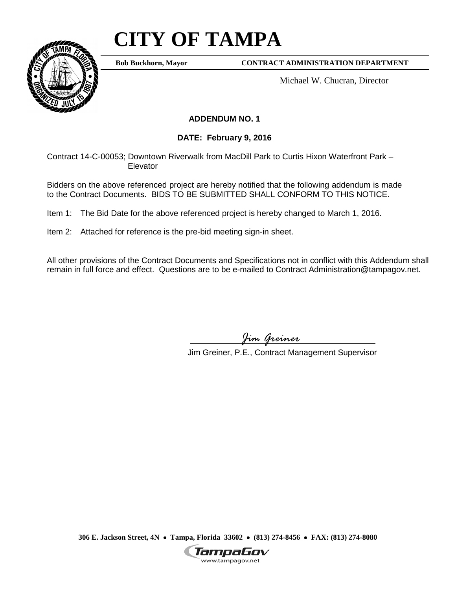## **CITY OF TAMPA**

**Bob Buckhorn, Mayor**

**CONTRACT ADMINISTRATION DEPARTMENT**

Michael W. Chucran, Director

## **ADDENDUM NO. 1**

**DATE: February 9, 2016**

Contract 14-C-00053; Downtown Riverwalk from MacDill Park to Curtis Hixon Waterfront Park – Elevator

Bidders on the above referenced project are hereby notified that the following addendum is made to the Contract Documents. BIDS TO BE SUBMITTED SHALL CONFORM TO THIS NOTICE.

Item 1: The Bid Date for the above referenced project is hereby changed to March 1, 2016.

Item 2: Attached for reference is the pre-bid meeting sign-in sheet.

All other provisions of the Contract Documents and Specifications not in conflict with this Addendum shall remain in full force and effect. Questions are to be e-mailed to Contract Administration@tampagov.net.

*Jim Greiner*

Jim Greiner, P.E., Contract Management Supervisor

**306 E. Jackson Street, 4N** • **Tampa, Florida 33602** • **(813) 274-8456** • **FAX: (813) 274-8080**